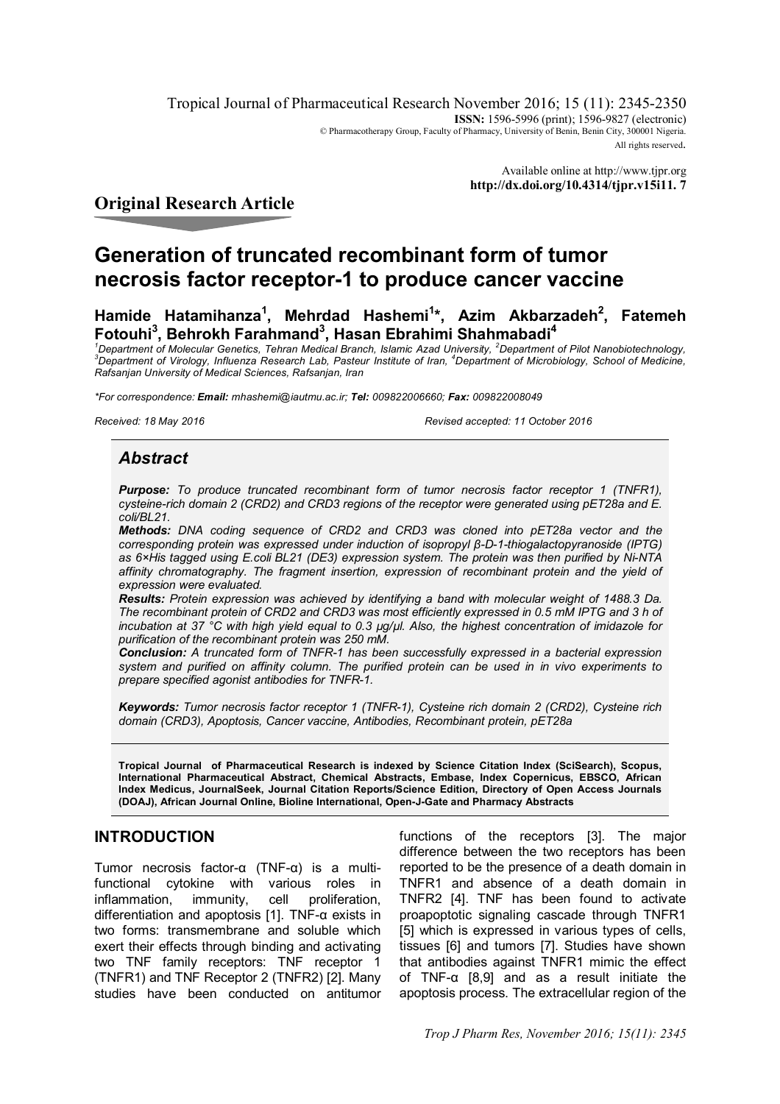Tropical Journal of Pharmaceutical Research November 2016; 15 (11): 2345-2350 **ISSN:** 1596-5996 (print); 1596-9827 (electronic) © Pharmacotherapy Group, Faculty of Pharmacy, University of Benin, Benin City, 300001 Nigeria. All rights reserved.

> Available online at <http://www.tjpr.org> **<http://dx.doi.org/10.4314/tjpr.v15i11.> 7**

# **Original Research Article**

# **Generation of truncated recombinant form of tumor necrosis factor receptor-1 to produce cancer vaccine**

**Hamide Hatamihanza<sup>1</sup> , Mehrdad Hashemi<sup>1</sup> \*, Azim Akbarzadeh<sup>2</sup> , Fatemeh Fotouhi<sup>3</sup> , Behrokh Farahmand<sup>3</sup> , Hasan Ebrahimi Shahmabadi<sup>4</sup>**

*<sup>1</sup>Department of Molecular Genetics, Tehran Medical Branch, Islamic Azad University, <sup>2</sup>Department of Pilot Nanobiotechnology, <sup>3</sup>Department of Virology, Influenza Research Lab, Pasteur Institute of Iran, <sup>4</sup>Department of Microbiology, School of Medicine, Rafsanjan University of Medical Sciences, Rafsanjan, Iran*

*\*For correspondence: Email: [mhashemi@iautmu.ac.ir;](mailto:mhashemi@iautmu.ac.ir;) Tel: 009822006660; Fax: 009822008049*

*Received: 18 May 2016 Revised accepted: 11 October 2016*

# *Abstract*

*Purpose: To produce truncated recombinant form of tumor necrosis factor receptor 1 (TNFR1), cysteine-rich domain 2 (CRD2) and CRD3 regions of the receptor were generated using pET28a and E. coli/BL21.*

*Methods: DNA coding sequence of CRD2 and CRD3 was cloned into pET28a vector and the corresponding protein was expressed under induction of isopropyl β-D-1-thiogalactopyranoside (IPTG) as 6×His tagged using E.coli BL21 (DE3) expression system. The protein was then purified by Ni-NTA affinity chromatography. The fragment insertion, expression of recombinant protein and the yield of expression were evaluated.*

*Results: Protein expression was achieved by identifying a band with molecular weight of 1488.3 Da. The recombinant protein of CRD2 and CRD3 was most efficiently expressed in 0.5 mM IPTG and 3 h of incubation at 37 °C with high yield equal to 0.3 µg/µl. Also, the highest concentration of imidazole for purification of the recombinant protein was 250 mM.*

*Conclusion: A truncated form of TNFR-1 has been successfully expressed in a bacterial expression system and purified on affinity column. The purified protein can be used in in vivo experiments to prepare specified agonist antibodies for TNFR-1.* 

*Keywords: Tumor necrosis factor receptor 1 (TNFR-1), Cysteine rich domain 2 (CRD2), Cysteine rich domain (CRD3), Apoptosis, Cancer vaccine, Antibodies, Recombinant protein, pET28a*

**Tropical Journal of Pharmaceutical Research is indexed by Science Citation Index (SciSearch), Scopus, International Pharmaceutical Abstract, Chemical Abstracts, Embase, Index Copernicus, EBSCO, African Index Medicus, JournalSeek, Journal Citation Reports/Science Edition, Directory of Open Access Journals (DOAJ), African Journal Online, Bioline International, Open-J-Gate and Pharmacy Abstracts**

# **INTRODUCTION**

Tumor necrosis factor-α (TNF-α) is a multifunctional cytokine with various roles in inflammation, immunity, cell proliferation, differentiation and apoptosis [1]. TNF-α exists in two forms: transmembrane and soluble which exert their effects through binding and activating two TNF family receptors: TNF receptor 1 (TNFR1) and TNF Receptor 2 (TNFR2) [2]. Many studies have been conducted on antitumor

functions of the receptors [3]. The major difference between the two receptors has been reported to be the presence of a death domain in TNFR1 and absence of a death domain in TNFR2 [4]. TNF has been found to activate proapoptotic signaling cascade through TNFR1 [5] which is expressed in various types of cells, tissues [6] and tumors [7]. Studies have shown that antibodies against TNFR1 mimic the effect of TNF-α [8,9] and as a result initiate the apoptosis process. The extracellular region of the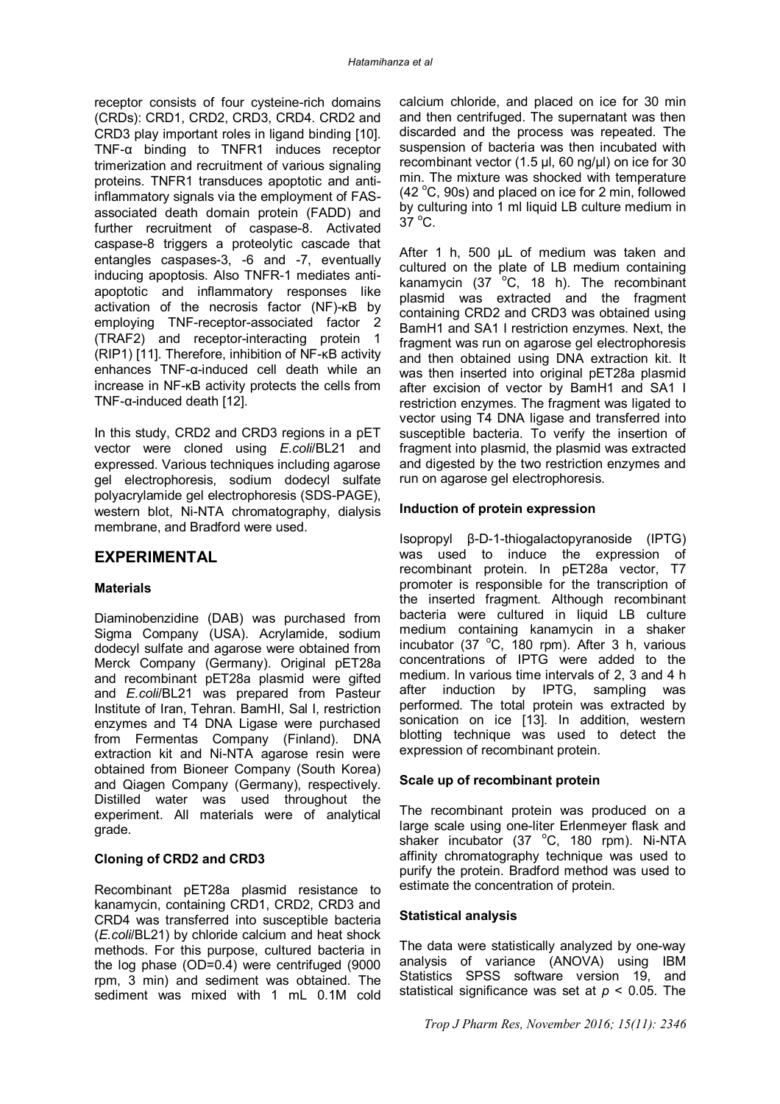receptor consists of four cysteine-rich domains (CRDs): CRD1, CRD2, CRD3, CRD4. CRD2 and CRD3 play important roles in ligand binding [10]. TNF-α binding to TNFR1 induces receptor trimerization and recruitment of various signaling proteins. TNFR1 transduces apoptotic and antiinflammatory signals via the employment of FASassociated death domain protein (FADD) and further recruitment of caspase-8. Activated caspase-8 triggers a proteolytic cascade that entangles caspases-3, -6 and -7, eventually inducing apoptosis. Also TNFR-1 mediates antiapoptotic and inflammatory responses like activation of the necrosis factor (NF)-κB by employing TNF-receptor-associated factor 2 (TRAF2) and receptor-interacting protein 1 (RIP1) [11]. Therefore, inhibition of NF-κB activity enhances TNF-α-induced cell death while an increase in NF-κB activity protects the cells from TNF-α-induced death [12].

In this study, CRD2 and CRD3 regions in a pET vector were cloned using *E.coli*/BL21 and expressed. Various techniques including agarose gel electrophoresis, sodium dodecyl sulfate polyacrylamide gel electrophoresis (SDS-PAGE), western blot, Ni-NTA chromatography, dialysis membrane, and Bradford were used.

# **EXPERIMENTAL**

# **Materials**

Diaminobenzidine (DAB) was purchased from Sigma Company (USA). Acrylamide, sodium dodecyl sulfate and agarose were obtained from Merck Company (Germany). Original pET28a and recombinant pET28a plasmid were gifted and *E.coli*/BL21 was prepared from Pasteur Institute of Iran, Tehran. BamHI, Sal I, restriction enzymes and T4 DNA Ligase were purchased from Fermentas Company (Finland). DNA extraction kit and Ni-NTA agarose resin were obtained from Bioneer Company (South Korea) and Qiagen Company (Germany), respectively. Distilled water was used throughout the experiment. All materials were of analytical grade.

# **Cloning of CRD2 and CRD3**

Recombinant pET28a plasmid resistance to kanamycin, containing CRD1, CRD2, CRD3 and CRD4 was transferred into susceptible bacteria (*E.coli*/BL21) by chloride calcium and heat shock methods. For this purpose, cultured bacteria in the log phase (OD=0.4) were centrifuged (9000 rpm, 3 min) and sediment was obtained. The sediment was mixed with 1 mL 0.1M cold

calcium chloride, and placed on ice for 30 min and then centrifuged. The supernatant was then discarded and the process was repeated. The suspension of bacteria was then incubated with recombinant vector (1.5 µl, 60 ng/µl) on ice for 30 min. The mixture was shocked with temperature (42 $\degree$ C, 90s) and placed on ice for 2 min, followed by culturing into 1 ml liquid LB culture medium in  $37^{\circ}$ C.

After 1 h, 500 µL of medium was taken and cultured on the plate of LB medium containing kanamycin  $(37 \text{ °C}$ . 18 h). The recombinant plasmid was extracted and the fragment containing CRD2 and CRD3 was obtained using BamH1 and SA1 I restriction enzymes. Next, the fragment was run on agarose gel electrophoresis and then obtained using DNA extraction kit. It was then inserted into original pET28a plasmid after excision of vector by BamH1 and SA1 I restriction enzymes. The fragment was ligated to vector using T4 DNA ligase and transferred into susceptible bacteria. To verify the insertion of fragment into plasmid, the plasmid was extracted and digested by the two restriction enzymes and run on agarose gel electrophoresis.

### **Induction of protein expression**

Isopropyl β-D-1-thiogalactopyranoside (IPTG) was used to induce the expression of recombinant protein. In pET28a vector, T7 promoter is responsible for the transcription of the inserted fragment. Although recombinant bacteria were cultured in liquid LB culture medium containing kanamycin in a shaker incubator (37 $\degree$ C, 180 rpm). After 3 h, various concentrations of IPTG were added to the medium. In various time intervals of 2, 3 and 4 h after induction by IPTG, sampling was performed. The total protein was extracted by sonication on ice [13]. In addition, western blotting technique was used to detect the expression of recombinant protein.

### **Scale up of recombinant protein**

The recombinant protein was produced on a large scale using one-liter Erlenmeyer flask and shaker incubator (37 $\degree$ C, 180 rpm). Ni-NTA affinity chromatography technique was used to purify the protein. Bradford method was used to estimate the concentration of protein.

### **Statistical analysis**

The data were statistically analyzed by one-way analysis of variance (ANOVA) using IBM Statistics SPSS software version 19, and statistical significance was set at *p* < 0.05. The

*Trop J Pharm Res, November 2016; 15(11): 2346*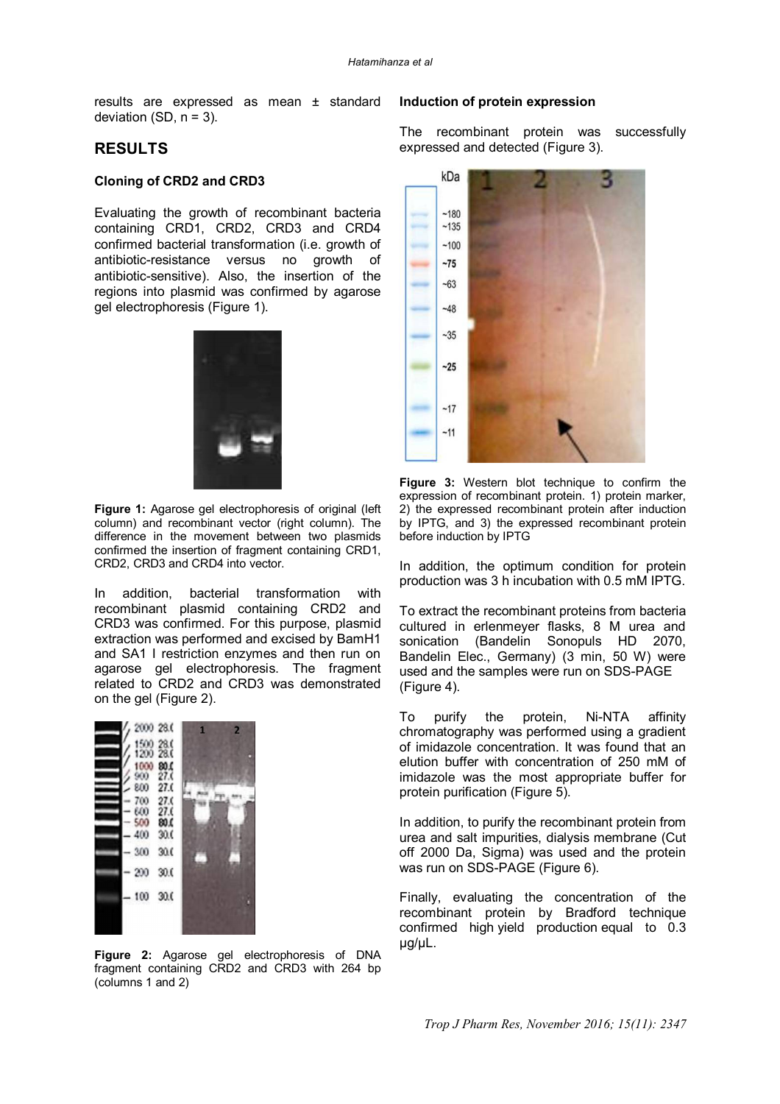results are expressed as mean ± standard deviation  $(SD, n = 3)$ .

# **RESULTS**

## **Cloning of CRD2 and CRD3**

Evaluating the growth of recombinant bacteria containing CRD1, CRD2, CRD3 and CRD4 confirmed bacterial transformation (i.e. growth of antibiotic-resistance versus no growth of antibiotic-sensitive). Also, the insertion of the regions into plasmid was confirmed by agarose gel electrophoresis (Figure 1).



**Figure 1:** Agarose gel electrophoresis of original (left column) and recombinant vector (right column). The difference in the movement between two plasmids confirmed the insertion of fragment containing CRD1, CRD2, CRD3 and CRD4 into vector.

In addition, bacterial transformation with recombinant plasmid containing CRD2 and CRD3 was confirmed. For this purpose, plasmid extraction was performed and excised by BamH1 and SA1 I restriction enzymes and then run on agarose gel electrophoresis. The fragment related to CRD2 and CRD3 was demonstrated on the gel (Figure 2).



**Figure 2:** Agarose gel electrophoresis of DNA fragment containing CRD2 and CRD3 with 264 bp (columns 1 and 2)

#### **Induction of protein expression**

The recombinant protein was successfully expressed and detected (Figure 3).



**Figure 3:** Western blot technique to confirm the expression of recombinant protein. 1) protein marker, 2) the expressed recombinant protein after induction by IPTG, and 3) the expressed recombinant protein before induction by IPTG

In addition, the optimum condition for protein production was 3 h incubation with 0.5 mM IPTG.

To extract the recombinant proteins from bacteria cultured in erlenmeyer flasks, 8 M urea and sonication (Bandelin Sonopuls HD 2070, Bandelin Elec., Germany) (3 min, 50 W) were used and the samples were run on SDS-PAGE (Figure 4).

To purify the protein, Ni-NTA affinity chromatography was performed using a gradient of imidazole concentration. It was found that an elution buffer with concentration of 250 mM of imidazole was the most appropriate buffer for protein purification (Figure 5).

In addition, to purify the recombinant protein from urea and salt impurities, dialysis membrane (Cut off 2000 Da, Sigma) was used and the protein was run on SDS-PAGE (Figure 6).

Finally, evaluating the concentration of the recombinant protein by Bradford technique confirmed high yield production equal to 0.3 µg/µL.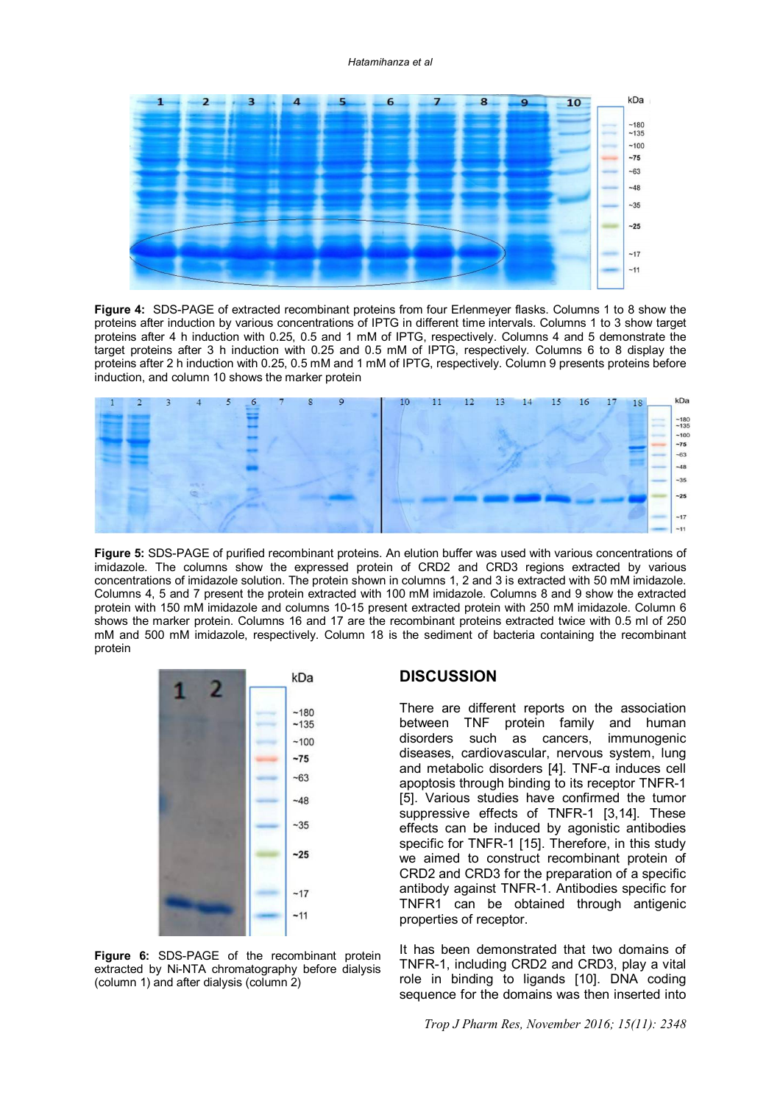#### *Hatamihanza et al*



**Figure 4:** SDS-PAGE of extracted recombinant proteins from four Erlenmeyer flasks. Columns 1 to 8 show the proteins after induction by various concentrations of IPTG in different time intervals. Columns 1 to 3 show target proteins after 4 h induction with 0.25, 0.5 and 1 mM of IPTG, respectively. Columns 4 and 5 demonstrate the target proteins after 3 h induction with 0.25 and 0.5 mM of IPTG, respectively. Columns 6 to 8 display the proteins after 2 h induction with 0.25, 0.5 mM and 1 mM of IPTG, respectively. Column 9 presents proteins before induction, and column 10 shows the marker protein



**Figure 5:** SDS-PAGE of purified recombinant proteins. An elution buffer was used with various concentrations of imidazole. The columns show the expressed protein of CRD2 and CRD3 regions extracted by various concentrations of imidazole solution. The protein shown in columns 1, 2 and 3 is extracted with 50 mM imidazole. Columns 4, 5 and 7 present the protein extracted with 100 mM imidazole. Columns 8 and 9 show the extracted protein with 150 mM imidazole and columns 10-15 present extracted protein with 250 mM imidazole. Column 6 shows the marker protein. Columns 16 and 17 are the recombinant proteins extracted twice with 0.5 ml of 250 mM and 500 mM imidazole, respectively. Column 18 is the sediment of bacteria containing the recombinant protein



**Figure 6:** SDS-PAGE of the recombinant protein extracted by Ni-NTA chromatography before dialysis (column 1) and after dialysis (column 2)

# **DISCUSSION**

There are different reports on the association between TNF protein family and human disorders such as cancers, immunogenic diseases, cardiovascular, nervous system, lung and metabolic disorders [4]. TNF-α induces cell apoptosis through binding to its receptor TNFR-1 [5]. Various studies have confirmed the tumor suppressive effects of TNFR-1 [3,14]. These effects can be induced by agonistic antibodies specific for TNFR-1 [15]. Therefore, in this study we aimed to construct recombinant protein of CRD2 and CRD3 for the preparation of a specific antibody against TNFR-1. Antibodies specific for TNFR1 can be obtained through antigenic properties of receptor.

It has been demonstrated that two domains of TNFR-1, including CRD2 and CRD3, play a vital role in binding to ligands [10]. DNA coding sequence for the domains was then inserted into

*Trop J Pharm Res, November 2016; 15(11): 2348*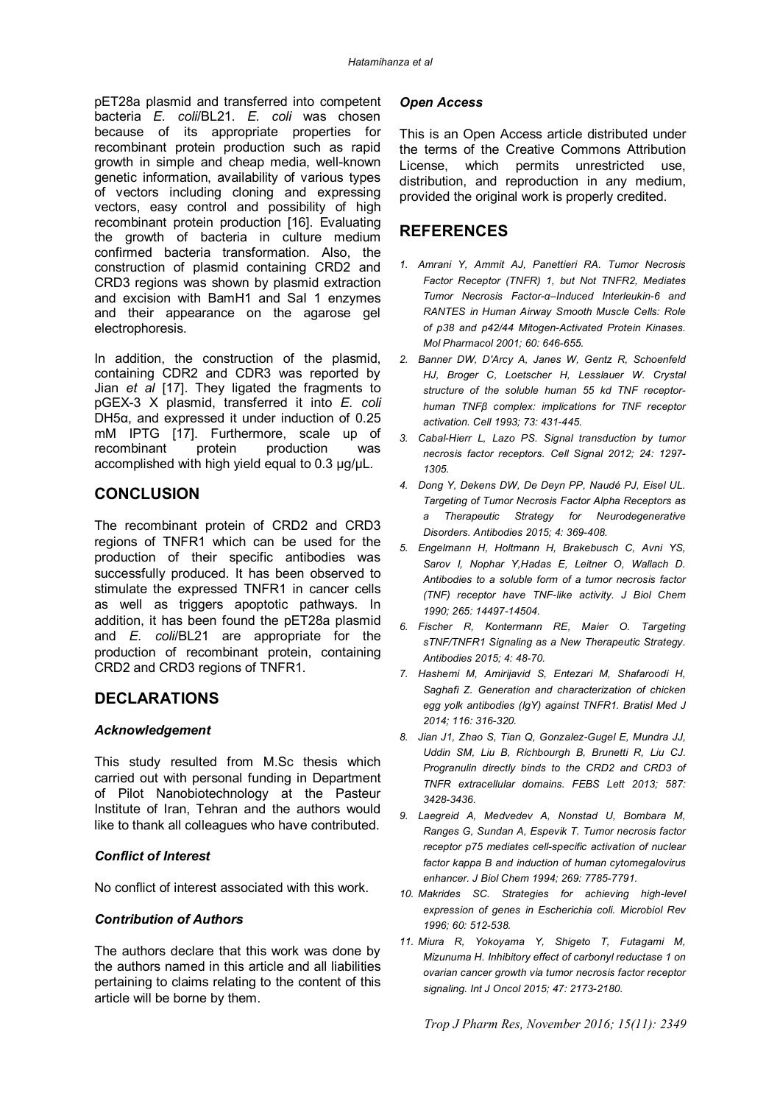pET28a plasmid and transferred into competent bacteria *E. coli*/BL21. *E. coli* was chosen because of its appropriate properties for recombinant protein production such as rapid growth in simple and cheap media, well-known genetic information, availability of various types of vectors including cloning and expressing vectors, easy control and possibility of high recombinant protein production [16]. Evaluating the growth of bacteria in culture medium confirmed bacteria transformation. Also, the construction of plasmid containing CRD2 and CRD3 regions was shown by plasmid extraction and excision with BamH1 and SaI 1 enzymes and their appearance on the agarose gel electrophoresis.

In addition, the construction of the plasmid, containing CDR2 and CDR3 was reported by Jian *et al* [17]. They ligated the fragments to pGEX-3 X plasmid, transferred it into *E. coli* DH5α, and expressed it under induction of 0.25 mM IPTG [17]. Furthermore, scale up of recombinant protein production was accomplished with high yield equal to  $0.3 \mu g/\mu L$ .

# **CONCLUSION**

The recombinant protein of CRD2 and CRD3 regions of TNFR1 which can be used for the production of their specific antibodies was successfully produced. It has been observed to stimulate the expressed TNFR1 in cancer cells as well as triggers apoptotic pathways. In addition, it has been found the pET28a plasmid and *E. coli*/BL21 are appropriate for the production of recombinant protein, containing CRD2 and CRD3 regions of TNFR1.

# **DECLARATIONS**

### *Acknowledgement*

This study resulted from M.Sc thesis which carried out with personal funding in Department of Pilot Nanobiotechnology at the Pasteur Institute of Iran, Tehran and the authors would like to thank all colleagues who have contributed.

### *Conflict of Interest*

No conflict of interest associated with this work.

### *Contribution of Authors*

The authors declare that this work was done by the authors named in this article and all liabilities pertaining to claims relating to the content of this article will be borne by them.

## *Open Access*

This is an Open Access article distributed under the terms of the Creative Commons Attribution License, which permits unrestricted use, distribution, and reproduction in any medium, provided the original work is properly credited.

# **REFERENCES**

- *1. Amrani Y, Ammit AJ, Panettieri RA. Tumor Necrosis Factor Receptor (TNFR) 1, but Not TNFR2, Mediates Tumor Necrosis Factor-α–Induced Interleukin-6 and RANTES in Human Airway Smooth Muscle Cells: Role of p38 and p42/44 Mitogen-Activated Protein Kinases. Mol Pharmacol 2001; 60: 646-655.*
- *2. Banner DW, D'Arcy A, Janes W, Gentz R, Schoenfeld HJ, Broger C, Loetscher H, Lesslauer W. Crystal structure of the soluble human 55 kd TNF receptorhuman TNFβ complex: implications for TNF receptor activation. Cell 1993; 73: 431-445.*
- *3. Cabal-Hierr L, Lazo PS. Signal transduction by tumor necrosis factor receptors. Cell Signal 2012; 24: 1297- 1305.*
- *4. Dong Y, Dekens DW, De Deyn PP, Naudé PJ, Eisel UL. Targeting of Tumor Necrosis Factor Alpha Receptors as a Therapeutic Strategy for Neurodegenerative Disorders. Antibodies 2015; 4: 369-408.*
- *5. Engelmann H, Holtmann H, Brakebusch C, Avni YS, Sarov I, Nophar Y,Hadas E, Leitner O, Wallach D. Antibodies to a soluble form of a tumor necrosis factor (TNF) receptor have TNF-like activity. J Biol Chem 1990; 265: 14497-14504.*
- *6. Fischer R, Kontermann RE, Maier O. Targeting sTNF/TNFR1 Signaling as a New Therapeutic Strategy. Antibodies 2015; 4: 48-70.*
- *7. Hashemi M, Amirijavid S, Entezari M, Shafaroodi H, Saghafi Z. Generation and characterization of chicken egg yolk antibodies (IgY) against TNFR1. Bratisl Med J 2014; 116: 316-320.*
- *8. Jian J1, Zhao S, Tian Q, Gonzalez-Gugel E, Mundra JJ, Uddin SM, Liu B, Richbourgh B, Brunetti R, Liu CJ. Progranulin directly binds to the CRD2 and CRD3 of TNFR extracellular domains. FEBS Lett 2013; 587: 3428-3436.*
- *9. Laegreid A, Medvedev A, Nonstad U, Bombara M, Ranges G, Sundan A, Espevik T. Tumor necrosis factor receptor p75 mediates cell-specific activation of nuclear factor kappa B and induction of human cytomegalovirus enhancer. J Biol Chem 1994; 269: 7785-7791.*
- *10. Makrides SC. Strategies for achieving high-level expression of genes in Escherichia coli. Microbiol Rev 1996; 60: 512-538.*
- *11. Miura R, Yokoyama Y, Shigeto T, Futagami M, Mizunuma H. Inhibitory effect of carbonyl reductase 1 on ovarian cancer growth via tumor necrosis factor receptor signaling. Int J Oncol 2015; 47: 2173-2180.*

*Trop J Pharm Res, November 2016; 15(11): 2349*